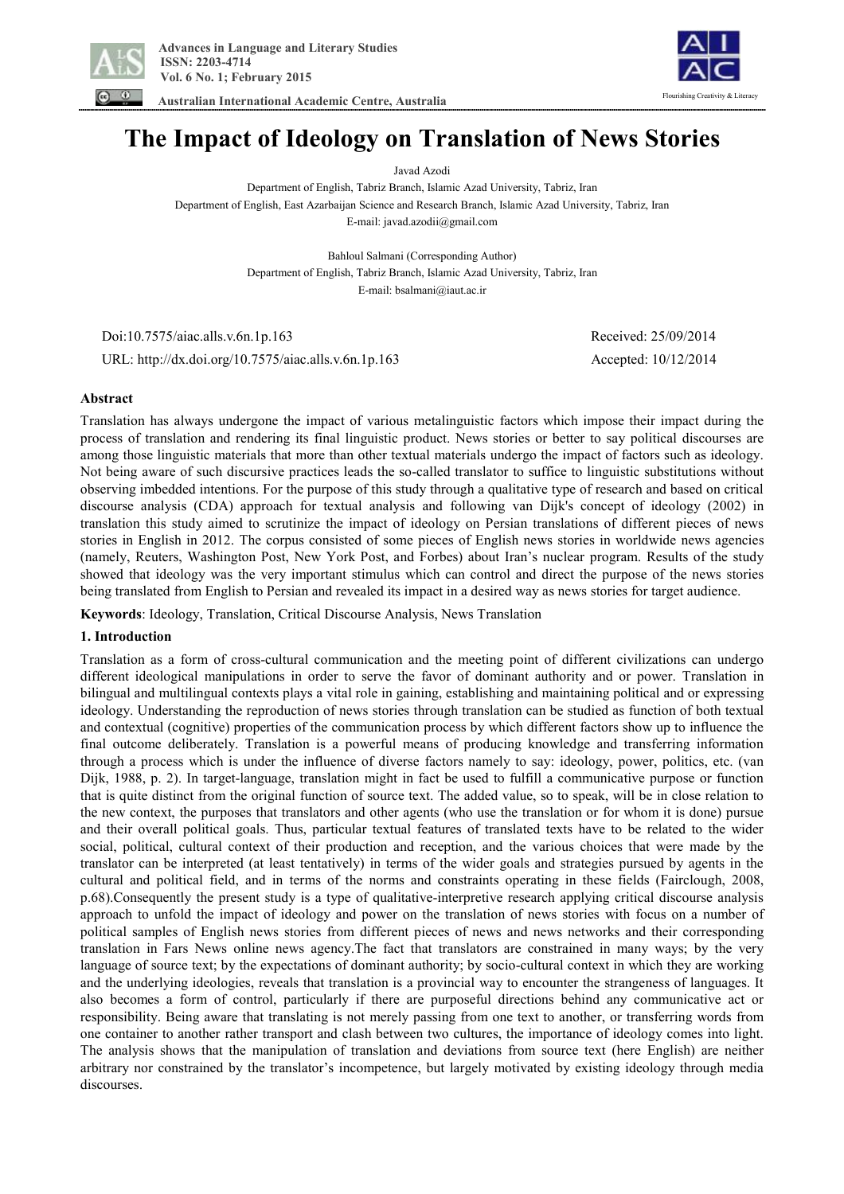

 **Australian International Academic Centre, Australia** 



# **The Impact of Ideology on Translation of News Stories**

Javad Azodi

Department of English, Tabriz Branch, Islamic Azad University, Tabriz, Iran Department of English, East Azarbaijan Science and Research Branch, Islamic Azad University, Tabriz, Iran E-mail: javad.azodii@gmail.com

> Bahloul Salmani (Corresponding Author) Department of English, Tabriz Branch, Islamic Azad University, Tabriz, Iran E-mail: bsalmani@iaut.ac.ir

 Doi:10.7575/aiac.alls.v.6n.1p.163 Received: 25/09/2014 URL: http://dx.doi.org/10.7575/aiac.alls.v.6n.1p.163 Accepted: 10/12/2014

# **Abstract**

Translation has always undergone the impact of various metalinguistic factors which impose their impact during the process of translation and rendering its final linguistic product. News stories or better to say political discourses are among those linguistic materials that more than other textual materials undergo the impact of factors such as ideology. Not being aware of such discursive practices leads the so-called translator to suffice to linguistic substitutions without observing imbedded intentions. For the purpose of this study through a qualitative type of research and based on critical discourse analysis (CDA) approach for textual analysis and following van Dijk's concept of ideology (2002) in translation this study aimed to scrutinize the impact of ideology on Persian translations of different pieces of news stories in English in 2012. The corpus consisted of some pieces of English news stories in worldwide news agencies (namely, Reuters, Washington Post, New York Post, and Forbes) about Iran's nuclear program. Results of the study showed that ideology was the very important stimulus which can control and direct the purpose of the news stories being translated from English to Persian and revealed its impact in a desired way as news stories for target audience.

**Keywords**: Ideology, Translation, Critical Discourse Analysis, News Translation

# **1. Introduction**

Translation as a form of cross-cultural communication and the meeting point of different civilizations can undergo different ideological manipulations in order to serve the favor of dominant authority and or power. Translation in bilingual and multilingual contexts plays a vital role in gaining, establishing and maintaining political and or expressing ideology. Understanding the reproduction of news stories through translation can be studied as function of both textual and contextual (cognitive) properties of the communication process by which different factors show up to influence the final outcome deliberately. Translation is a powerful means of producing knowledge and transferring information through a process which is under the influence of diverse factors namely to say: ideology, power, politics, etc. (van Dijk, 1988, p. 2). In target-language, translation might in fact be used to fulfill a communicative purpose or function that is quite distinct from the original function of source text. The added value, so to speak, will be in close relation to the new context, the purposes that translators and other agents (who use the translation or for whom it is done) pursue and their overall political goals. Thus, particular textual features of translated texts have to be related to the wider social, political, cultural context of their production and reception, and the various choices that were made by the translator can be interpreted (at least tentatively) in terms of the wider goals and strategies pursued by agents in the cultural and political field, and in terms of the norms and constraints operating in these fields (Fairclough, 2008, p.68).Consequently the present study is a type of qualitative-interpretive research applying critical discourse analysis approach to unfold the impact of ideology and power on the translation of news stories with focus on a number of political samples of English news stories from different pieces of news and news networks and their corresponding translation in Fars News online news agency.The fact that translators are constrained in many ways; by the very language of source text; by the expectations of dominant authority; by socio-cultural context in which they are working and the underlying ideologies, reveals that translation is a provincial way to encounter the strangeness of languages. It also becomes a form of control, particularly if there are purposeful directions behind any communicative act or responsibility. Being aware that translating is not merely passing from one text to another, or transferring words from one container to another rather transport and clash between two cultures, the importance of ideology comes into light. The analysis shows that the manipulation of translation and deviations from source text (here English) are neither arbitrary nor constrained by the translator's incompetence, but largely motivated by existing ideology through media discourses.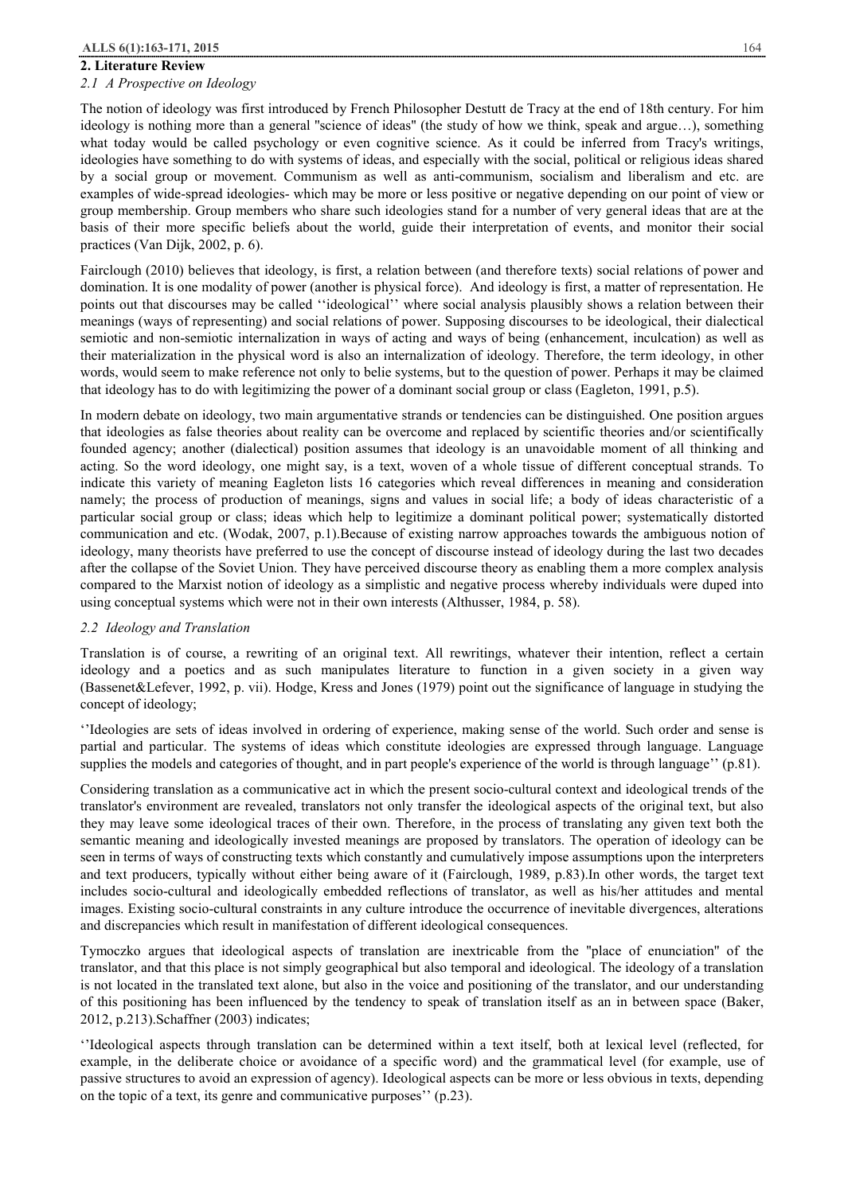#### **2. Literature Review**

## *2.1 A Prospective on Ideology*

The notion of ideology was first introduced by French Philosopher Destutt de Tracy at the end of 18th century. For him ideology is nothing more than a general ''science of ideas'' (the study of how we think, speak and argue…), something what today would be called psychology or even cognitive science. As it could be inferred from Tracy's writings, ideologies have something to do with systems of ideas, and especially with the social, political or religious ideas shared by a social group or movement. Communism as well as anti-communism, socialism and liberalism and etc. are examples of wide-spread ideologies- which may be more or less positive or negative depending on our point of view or group membership. Group members who share such ideologies stand for a number of very general ideas that are at the basis of their more specific beliefs about the world, guide their interpretation of events, and monitor their social practices (Van Dijk, 2002, p. 6).

Fairclough (2010) believes that ideology, is first, a relation between (and therefore texts) social relations of power and domination. It is one modality of power (another is physical force). And ideology is first, a matter of representation. He points out that discourses may be called ''ideological'' where social analysis plausibly shows a relation between their meanings (ways of representing) and social relations of power. Supposing discourses to be ideological, their dialectical semiotic and non-semiotic internalization in ways of acting and ways of being (enhancement, inculcation) as well as their materialization in the physical word is also an internalization of ideology. Therefore, the term ideology, in other words, would seem to make reference not only to belie systems, but to the question of power. Perhaps it may be claimed that ideology has to do with legitimizing the power of a dominant social group or class (Eagleton, 1991, p.5).

In modern debate on ideology, two main argumentative strands or tendencies can be distinguished. One position argues that ideologies as false theories about reality can be overcome and replaced by scientific theories and/or scientifically founded agency; another (dialectical) position assumes that ideology is an unavoidable moment of all thinking and acting. So the word ideology, one might say, is a text, woven of a whole tissue of different conceptual strands. To indicate this variety of meaning Eagleton lists 16 categories which reveal differences in meaning and consideration namely; the process of production of meanings, signs and values in social life; a body of ideas characteristic of a particular social group or class; ideas which help to legitimize a dominant political power; systematically distorted communication and etc. (Wodak, 2007, p.1).Because of existing narrow approaches towards the ambiguous notion of ideology, many theorists have preferred to use the concept of discourse instead of ideology during the last two decades after the collapse of the Soviet Union. They have perceived discourse theory as enabling them a more complex analysis compared to the Marxist notion of ideology as a simplistic and negative process whereby individuals were duped into using conceptual systems which were not in their own interests (Althusser, 1984, p. 58).

# *2.2 Ideology and Translation*

Translation is of course, a rewriting of an original text. All rewritings, whatever their intention, reflect a certain ideology and a poetics and as such manipulates literature to function in a given society in a given way (Bassenet&Lefever, 1992, p. vii). Hodge, Kress and Jones (1979) point out the significance of language in studying the concept of ideology;

''Ideologies are sets of ideas involved in ordering of experience, making sense of the world. Such order and sense is partial and particular. The systems of ideas which constitute ideologies are expressed through language. Language supplies the models and categories of thought, and in part people's experience of the world is through language'' (p.81).

Considering translation as a communicative act in which the present socio-cultural context and ideological trends of the translator's environment are revealed, translators not only transfer the ideological aspects of the original text, but also they may leave some ideological traces of their own. Therefore, in the process of translating any given text both the semantic meaning and ideologically invested meanings are proposed by translators. The operation of ideology can be seen in terms of ways of constructing texts which constantly and cumulatively impose assumptions upon the interpreters and text producers, typically without either being aware of it (Fairclough, 1989, p.83).In other words, the target text includes socio-cultural and ideologically embedded reflections of translator, as well as his/her attitudes and mental images. Existing socio-cultural constraints in any culture introduce the occurrence of inevitable divergences, alterations and discrepancies which result in manifestation of different ideological consequences.

Tymoczko argues that ideological aspects of translation are inextricable from the ''place of enunciation'' of the translator, and that this place is not simply geographical but also temporal and ideological. The ideology of a translation is not located in the translated text alone, but also in the voice and positioning of the translator, and our understanding of this positioning has been influenced by the tendency to speak of translation itself as an in between space (Baker, 2012, p.213).Schaffner (2003) indicates;

''Ideological aspects through translation can be determined within a text itself, both at lexical level (reflected, for example, in the deliberate choice or avoidance of a specific word) and the grammatical level (for example, use of passive structures to avoid an expression of agency). Ideological aspects can be more or less obvious in texts, depending on the topic of a text, its genre and communicative purposes'' (p.23).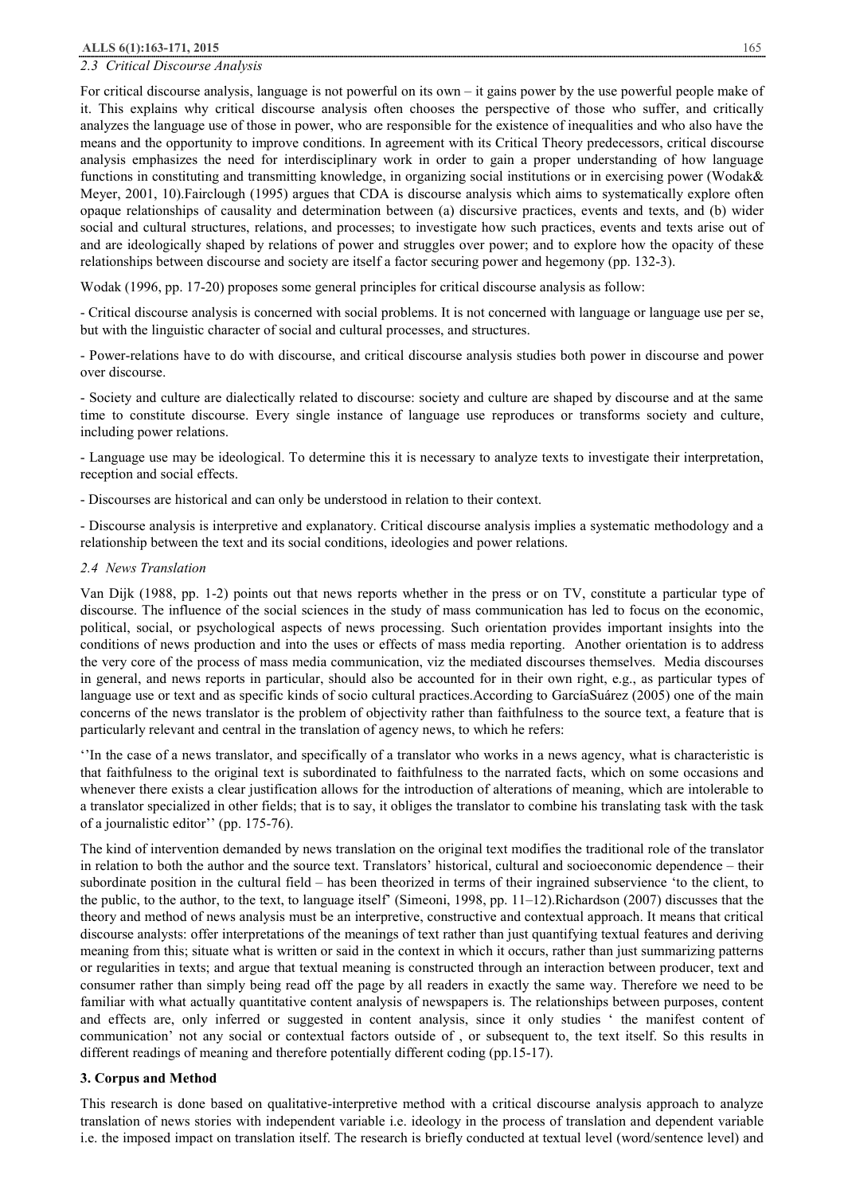#### *2.3 Critical Discourse Analysis*

For critical discourse analysis, language is not powerful on its own – it gains power by the use powerful people make of it. This explains why critical discourse analysis often chooses the perspective of those who suffer, and critically analyzes the language use of those in power, who are responsible for the existence of inequalities and who also have the means and the opportunity to improve conditions. In agreement with its Critical Theory predecessors, critical discourse analysis emphasizes the need for interdisciplinary work in order to gain a proper understanding of how language functions in constituting and transmitting knowledge, in organizing social institutions or in exercising power (Wodak& Meyer, 2001, 10).Fairclough (1995) argues that CDA is discourse analysis which aims to systematically explore often opaque relationships of causality and determination between (a) discursive practices, events and texts, and (b) wider social and cultural structures, relations, and processes; to investigate how such practices, events and texts arise out of and are ideologically shaped by relations of power and struggles over power; and to explore how the opacity of these relationships between discourse and society are itself a factor securing power and hegemony (pp. 132-3).

Wodak (1996, pp. 17-20) proposes some general principles for critical discourse analysis as follow:

- Critical discourse analysis is concerned with social problems. It is not concerned with language or language use per se, but with the linguistic character of social and cultural processes, and structures.

- Power-relations have to do with discourse, and critical discourse analysis studies both power in discourse and power over discourse.

- Society and culture are dialectically related to discourse: society and culture are shaped by discourse and at the same time to constitute discourse. Every single instance of language use reproduces or transforms society and culture, including power relations.

- Language use may be ideological. To determine this it is necessary to analyze texts to investigate their interpretation, reception and social effects.

- Discourses are historical and can only be understood in relation to their context.

- Discourse analysis is interpretive and explanatory. Critical discourse analysis implies a systematic methodology and a relationship between the text and its social conditions, ideologies and power relations.

#### *2.4 News Translation*

Van Dijk (1988, pp. 1-2) points out that news reports whether in the press or on TV, constitute a particular type of discourse. The influence of the social sciences in the study of mass communication has led to focus on the economic, political, social, or psychological aspects of news processing. Such orientation provides important insights into the conditions of news production and into the uses or effects of mass media reporting. Another orientation is to address the very core of the process of mass media communication, viz the mediated discourses themselves. Media discourses in general, and news reports in particular, should also be accounted for in their own right, e.g., as particular types of language use or text and as specific kinds of socio cultural practices.According to GarcíaSuárez (2005) one of the main concerns of the news translator is the problem of objectivity rather than faithfulness to the source text, a feature that is particularly relevant and central in the translation of agency news, to which he refers:

''In the case of a news translator, and specifically of a translator who works in a news agency, what is characteristic is that faithfulness to the original text is subordinated to faithfulness to the narrated facts, which on some occasions and whenever there exists a clear justification allows for the introduction of alterations of meaning, which are intolerable to a translator specialized in other fields; that is to say, it obliges the translator to combine his translating task with the task of a journalistic editor'' (pp. 175-76).

The kind of intervention demanded by news translation on the original text modifies the traditional role of the translator in relation to both the author and the source text. Translators' historical, cultural and socioeconomic dependence – their subordinate position in the cultural field – has been theorized in terms of their ingrained subservience 'to the client, to the public, to the author, to the text, to language itself' (Simeoni, 1998, pp. 11–12).Richardson (2007) discusses that the theory and method of news analysis must be an interpretive, constructive and contextual approach. It means that critical discourse analysts: offer interpretations of the meanings of text rather than just quantifying textual features and deriving meaning from this; situate what is written or said in the context in which it occurs, rather than just summarizing patterns or regularities in texts; and argue that textual meaning is constructed through an interaction between producer, text and consumer rather than simply being read off the page by all readers in exactly the same way. Therefore we need to be familiar with what actually quantitative content analysis of newspapers is. The relationships between purposes, content and effects are, only inferred or suggested in content analysis, since it only studies ' the manifest content of communication' not any social or contextual factors outside of , or subsequent to, the text itself. So this results in different readings of meaning and therefore potentially different coding (pp.15-17).

#### **3. Corpus and Method**

This research is done based on qualitative-interpretive method with a critical discourse analysis approach to analyze translation of news stories with independent variable i.e. ideology in the process of translation and dependent variable i.e. the imposed impact on translation itself. The research is briefly conducted at textual level (word/sentence level) and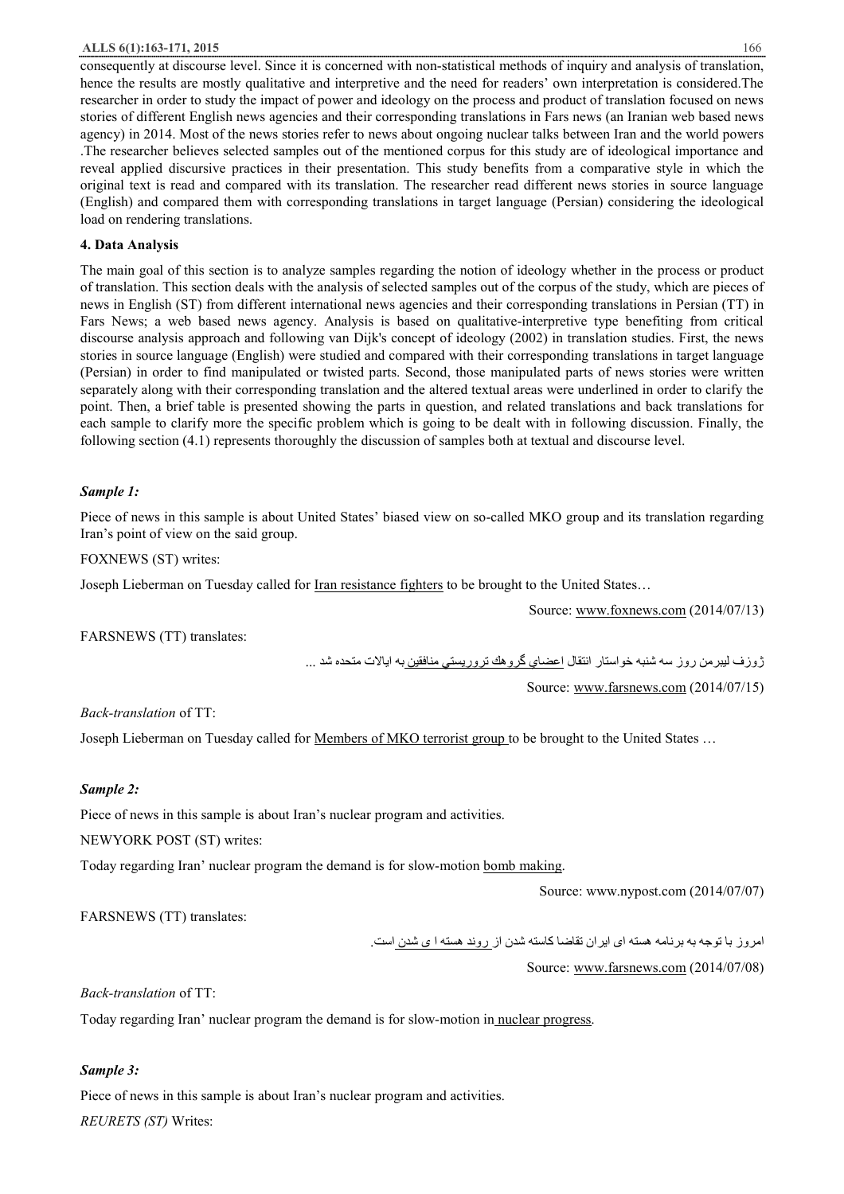#### **ALLS 6(1):163-171, 2015** 166

consequently at discourse level. Since it is concerned with non-statistical methods of inquiry and analysis of translation, hence the results are mostly qualitative and interpretive and the need for readers' own interpretation is considered.The researcher in order to study the impact of power and ideology on the process and product of translation focused on news stories of different English news agencies and their corresponding translations in Fars news (an Iranian web based news agency) in 2014. Most of the news stories refer to news about ongoing nuclear talks between Iran and the world powers .The researcher believes selected samples out of the mentioned corpus for this study are of ideological importance and reveal applied discursive practices in their presentation. This study benefits from a comparative style in which the original text is read and compared with its translation. The researcher read different news stories in source language (English) and compared them with corresponding translations in target language (Persian) considering the ideological load on rendering translations.

# **4. Data Analysis**

The main goal of this section is to analyze samples regarding the notion of ideology whether in the process or product of translation. This section deals with the analysis of selected samples out of the corpus of the study, which are pieces of news in English (ST) from different international news agencies and their corresponding translations in Persian (TT) in Fars News; a web based news agency. Analysis is based on qualitative-interpretive type benefiting from critical discourse analysis approach and following van Dijk's concept of ideology (2002) in translation studies. First, the news stories in source language (English) were studied and compared with their corresponding translations in target language (Persian) in order to find manipulated or twisted parts. Second, those manipulated parts of news stories were written separately along with their corresponding translation and the altered textual areas were underlined in order to clarify the point. Then, a brief table is presented showing the parts in question, and related translations and back translations for each sample to clarify more the specific problem which is going to be dealt with in following discussion. Finally, the following section (4.1) represents thoroughly the discussion of samples both at textual and discourse level.

## *Sample 1:*

Piece of news in this sample is about United States' biased view on so-called MKO group and its translation regarding Iran's point of view on the said group.

#### FOXNEWS (ST) writes:

Joseph Lieberman on Tuesday called for Iran resistance fighters to be brought to the United States…

Source: www.foxnews.com (2014/07/13)

FARSNEWS (TT) translates:

ژوزف لیبرمن روز سھ شنبھ خواستار انتقال اعضاي گروھك تروریستي منافقین بھ ایالات متحده شد ...

Source: www.farsnews.com (2014/07/15)

# *Back-translation* of TT:

Joseph Lieberman on Tuesday called for <u>Members of MKO terrorist group</u> to be brought to the United States ...

# *Sample 2:*

Piece of news in this sample is about Iran's nuclear program and activities.

NEWYORK POST (ST) writes:

Today regarding Iran' nuclear program the demand is for slow-motion bomb making.

Source: www.nypost.com (2014/07/07)

FARSNEWS (TT) translates:

امروز با توجھ بھ برنامھ ھستھ ای ایران تقاضا کاستھ شدن از روند ھستھ ا ی شدن است.

Source: www.farsnews.com (2014/07/08)

*Back-translation* of TT:

Today regarding Iran' nuclear program the demand is for slow-motion in nuclear progress.

# *Sample 3:*

Piece of news in this sample is about Iran's nuclear program and activities.

*REURETS (ST)* Writes: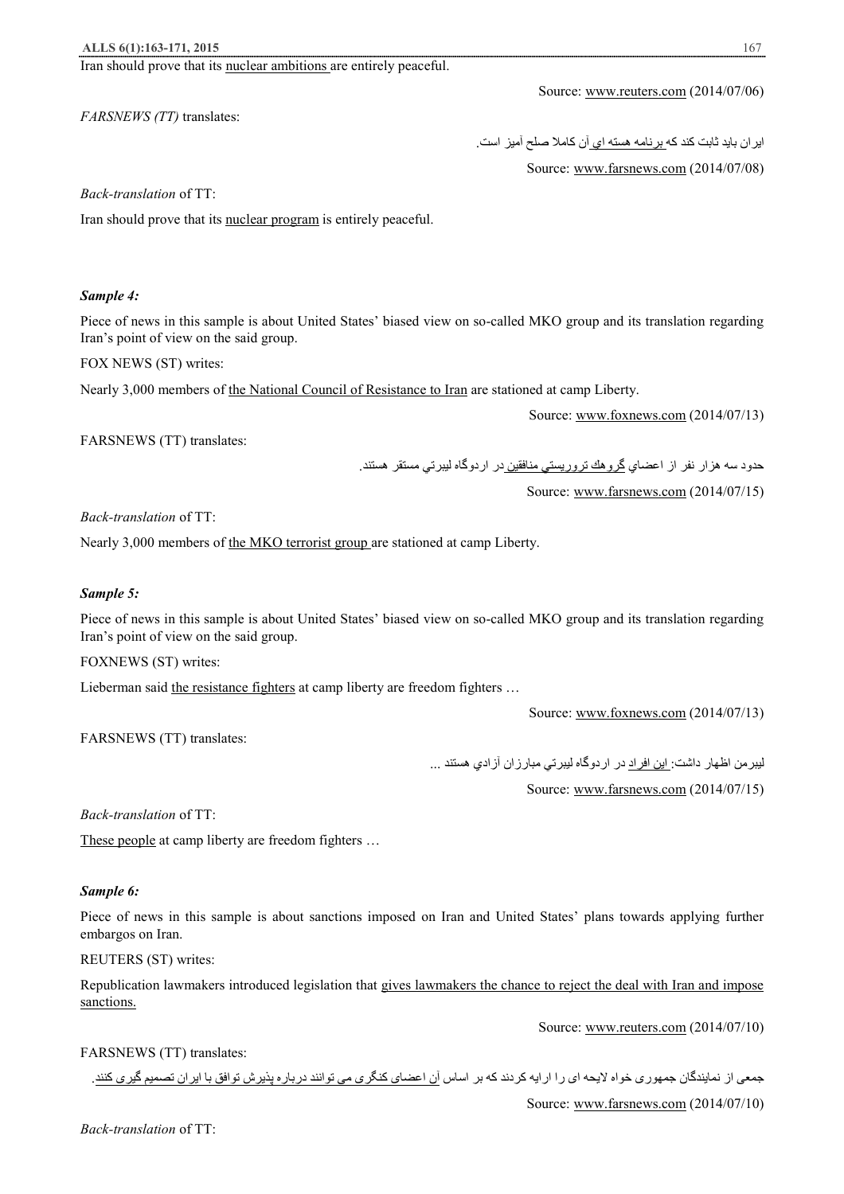Iran should prove that its nuclear ambitions are entirely peaceful.

*FARSNEWS (TT)* translates:

Source: www.farsnews.com (2014/07/08)

Source: www.reuters.com (2014/07/06)

ایران باید ثابت كند كھ برنامھ ھستھ اي آن كاملا صلح آمیز است.

*Back-translation* of TT:

Iran should prove that its nuclear program is entirely peaceful.

#### *Sample 4:*

Piece of news in this sample is about United States' biased view on so-called MKO group and its translation regarding Iran's point of view on the said group.

FOX NEWS (ST) writes:

Nearly 3,000 members of the National Council of Resistance to Iran are stationed at camp Liberty.

Source: www.foxnews.com (2014/07/13)

FARSNEWS (TT) translates:

حدود سھ ھزار نفر از اعضاي گروھك تروریستي منافقین در اردوگاه لیبرتي مستقر ھستند.

Source: www.farsnews.com (2014/07/15)

*Back-translation* of TT:

Nearly 3,000 members of the MKO terrorist group are stationed at camp Liberty.

#### *Sample 5:*

Piece of news in this sample is about United States' biased view on so-called MKO group and its translation regarding Iran's point of view on the said group.

FOXNEWS (ST) writes:

Lieberman said the resistance fighters at camp liberty are freedom fighters ...

Source: www.foxnews.com (2014/07/13)

FARSNEWS (TT) translates:

لیبرمن اظھار داشت: این افراد در اردوگاه لیبرتي مبارزان آزادي ھستند ...

Source: www.farsnews.com (2014/07/15)

*Back-translation* of TT:

These people at camp liberty are freedom fighters …

#### *Sample 6:*

Piece of news in this sample is about sanctions imposed on Iran and United States' plans towards applying further embargos on Iran.

## REUTERS (ST) writes:

Republication lawmakers introduced legislation that gives lawmakers the chance to reject the deal with Iran and impose sanctions.

Source: www.reuters.com (2014/07/10)

#### FARSNEWS (TT) translates:

جمعی از نمایندگان جمھوری خواه لایحھ ای را ارایھ کردند کھ بر اساس آن اعضای کنگری می توانند درباره پذیرش توافق با ایران تصمیم گیری کنند. Source: www.farsnews.com (2014/07/10)

*Back-translation* of TT: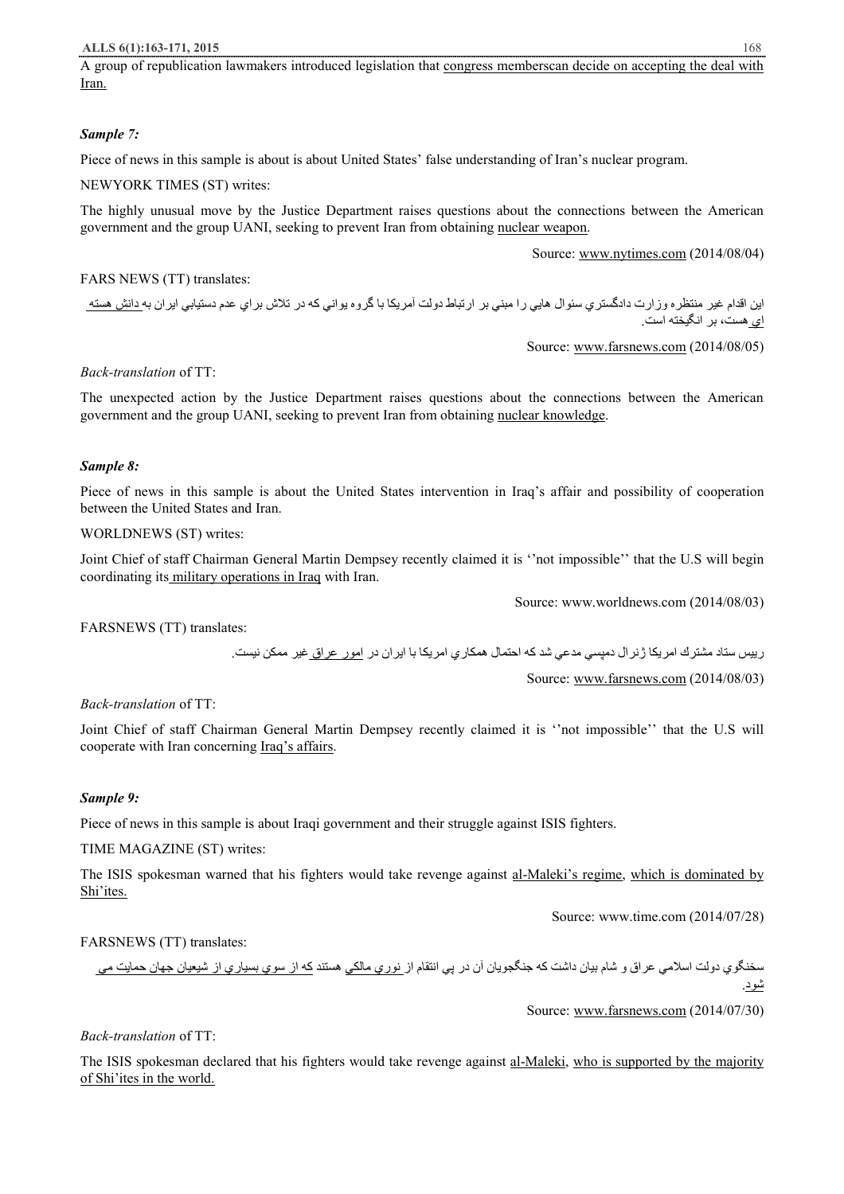A group of republication lawmakers introduced legislation that congress memberscan decide on accepting the deal with Iran.

# *Sample 7:*

Piece of news in this sample is about is about United States' false understanding of Iran's nuclear program.

NEWYORK TIMES (ST) writes:

The highly unusual move by the Justice Department raises questions about the connections between the American government and the group UANI, seeking to prevent Iran from obtaining nuclear weapon.

Source: www.nytimes.com (2014/08/04)

## FARS NEWS (TT) translates:

این اقدام غیر منتظره وزارت دادگستري سئوال ھایي را مبني بر ارتباط دولت آمریکا با گروه یواني که در تلاش براي عدم دستیابي ایران به دانش هسته اي ھست، بر انگیختھ است.

Source: www.farsnews.com (2014/08/05)

## *Back-translation* of TT:

The unexpected action by the Justice Department raises questions about the connections between the American government and the group UANI, seeking to prevent Iran from obtaining nuclear knowledge.

#### *Sample 8:*

Piece of news in this sample is about the United States intervention in Iraq's affair and possibility of cooperation between the United States and Iran.

# WORLDNEWS (ST) writes:

Joint Chief of staff Chairman General Martin Dempsey recently claimed it is ''not impossible'' that the U.S will begin coordinating its military operations in Iraq with Iran.

Source: www.worldnews.com (2014/08/03)

FARSNEWS (TT) translates:

رییس ستاد مشترك امریكا ژنرال دمپسي مدعي شد كھ احتمال ھمكاري امریكا با ایران در امور عراق غیر ممكن نیست.

Source: www.farsnews.com (2014/08/03)

# *Back-translation* of TT:

Joint Chief of staff Chairman General Martin Dempsey recently claimed it is ''not impossible'' that the U.S will cooperate with Iran concerning Iraq's affairs.

# *Sample 9:*

Piece of news in this sample is about Iraqi government and their struggle against ISIS fighters.

#### TIME MAGAZINE (ST) writes:

The ISIS spokesman warned that his fighters would take revenge against al-Maleki's regime, which is dominated by Shi'ites.

Source: www.time.com (2014/07/28)

# FARSNEWS (TT) translates:

سخنگوي دولت اسلامي عراق و شام بيان داشت كه جنگجويان آن در پي انتقام ا<u>ز نوري مالكي</u> هستند كه از سوي بسياري از شيعيان جهان حمايت مي شود.

Source: www.farsnews.com (2014/07/30)

# *Back-translation* of TT:

The ISIS spokesman declared that his fighters would take revenge against al-Maleki, who is supported by the majority of Shi'ites in the world.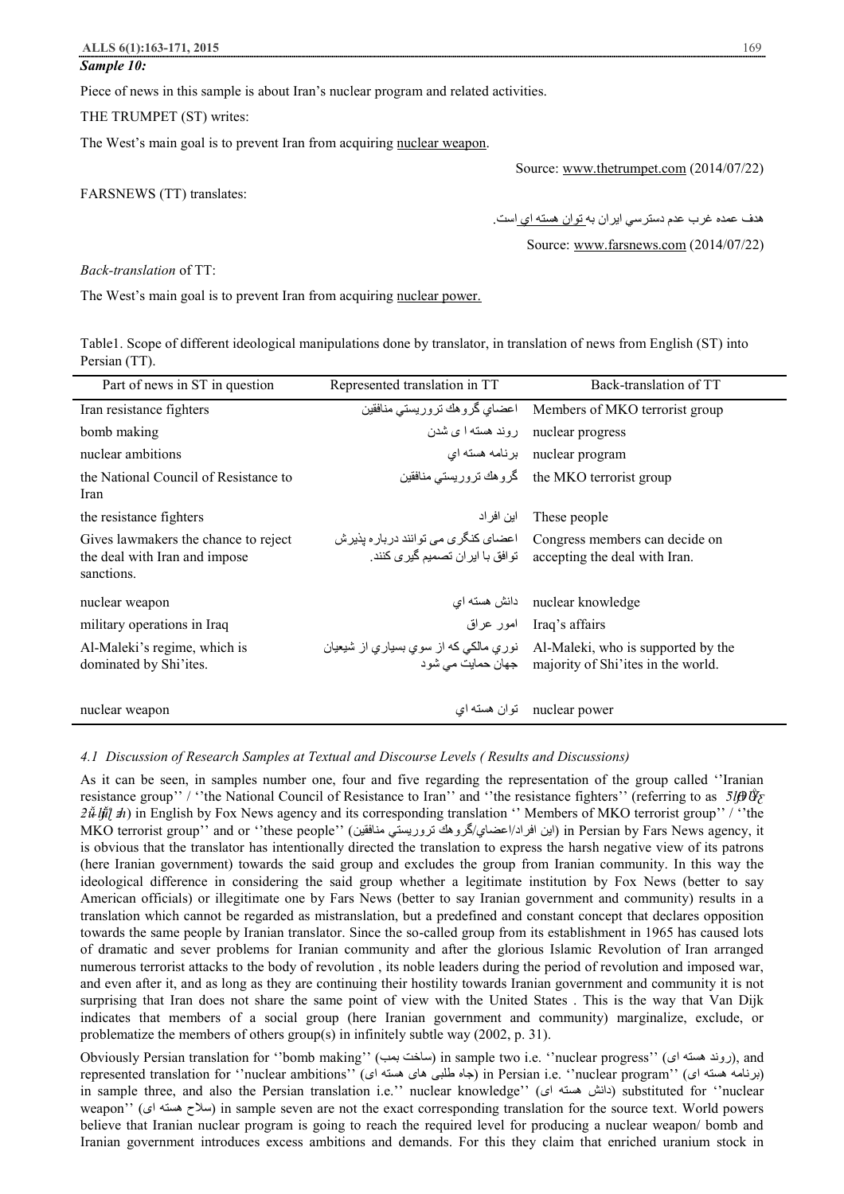#### *Sample 10:*

Piece of news in this sample is about Iran's nuclear program and related activities.

THE TRUMPET (ST) writes:

The West's main goal is to prevent Iran from acquiring nuclear weapon.

Source: www.thetrumpet.com (2014/07/22)

FARSNEWS (TT) translates:

ھدف عمده غرب عدم دسترسي ایران بھ توان ھستھ اي است.

Source: www.farsnews.com (2014/07/22)

*Back-translation* of TT:

The West's main goal is to prevent Iran from acquiring nuclear power.

Table1. Scope of different ideological manipulations done by translator, in translation of news from English (ST) into Persian (TT).

| Part of news in ST in question                                                      | Represented translation in TT | Back-translation of TT                                                                                                             |
|-------------------------------------------------------------------------------------|-------------------------------|------------------------------------------------------------------------------------------------------------------------------------|
| Iran resistance fighters                                                            |                               | Members of MKO terrorist group    اعضاي گروهك تروريستي منافقين                                                                     |
| bomb making                                                                         |                               | nuclear progress روند هسته ا ی شدن                                                                                                 |
| nuclear ambitions                                                                   |                               | nuclear program برنامه هسته ای                                                                                                     |
| the National Council of Resistance to<br>Iran                                       |                               | the MKO terrorist group گروهك تروريستي منافقين                                                                                     |
| the resistance fighters                                                             | این افر اد                    | These people                                                                                                                       |
| Gives lawmakers the chance to reject<br>the deal with Iran and impose<br>sanctions. |                               | Congress members can decide on اعضای کنگری می توانند درباره بذیرش<br>.accepting the deal with Iran توافق با ایران تصمیم گیری کنند. |
| nuclear weapon                                                                      |                               | nuclear knowledge دانش هسته اي                                                                                                     |
| military operations in Iraq                                                         |                               | Iraq's affairs امور عراق                                                                                                           |
| Al-Maleki's regime, which is<br>dominated by Shi'ites.                              |                               | Al-Maleki, who is supported by the    نوري مالکی که از سوي بسياري از شيعيان<br>majority of Shi'ites in the world.                  |
| nuclear weapon                                                                      | توان هسته ای                  | nuclear power                                                                                                                      |

#### *4.1 Discussion of Research Samples at Textual and Discourse Levels ( Results and Discussions)*

As it can be seen, in samples number one, four and five regarding the representation of the group called ''Iranian resistance group'' / "the National Council of Resistance to Iran'' and "the resistance fighters" (referring to as *5lβ Ü*<sub>*Σ*</sub>  $2\tilde{\mu}$  *ljil*  $\tilde{\mu}$ ) in English by Fox News agency and its corresponding translation " Members of MKO terrorist group" / "the MKO terrorist group'' and or ''these people'' (منافقین تروریستي گروھك/اعضاي/افراد این (in Persian by Fars News agency, it is obvious that the translator has intentionally directed the translation to express the harsh negative view of its patrons (here Iranian government) towards the said group and excludes the group from Iranian community. In this way the ideological difference in considering the said group whether a legitimate institution by Fox News (better to say American officials) or illegitimate one by Fars News (better to say Iranian government and community) results in a translation which cannot be regarded as mistranslation, but a predefined and constant concept that declares opposition towards the same people by Iranian translator. Since the so-called group from its establishment in 1965 has caused lots of dramatic and sever problems for Iranian community and after the glorious Islamic Revolution of Iran arranged numerous terrorist attacks to the body of revolution , its noble leaders during the period of revolution and imposed war, and even after it, and as long as they are continuing their hostility towards Iranian government and community it is not surprising that Iran does not share the same point of view with the United States . This is the way that Van Dijk indicates that members of a social group (here Iranian government and community) marginalize, exclude, or problematize the members of others group(s) in infinitely subtle way (2002, p. 31).

Obviously Persian translation for ''bomb making'' (ساخت بعب) in sample two i.e. ''nuclear progress'' (روند هسته ای), and represented translation for ''nuclear ambitions'' (جاه طلبی های هسته ای) (in Persian i.e. ''nuclear program'' ( in sample three, and also the Persian translation i.e.'' nuclear knowledge'' (دانش هسته ای) substituted for ''nuclear weapon'' (سلاح هسته ای) in sample seven are not the exact corresponding translation for the source text. World powers believe that Iranian nuclear program is going to reach the required level for producing a nuclear weapon/ bomb and Iranian government introduces excess ambitions and demands. For this they claim that enriched uranium stock in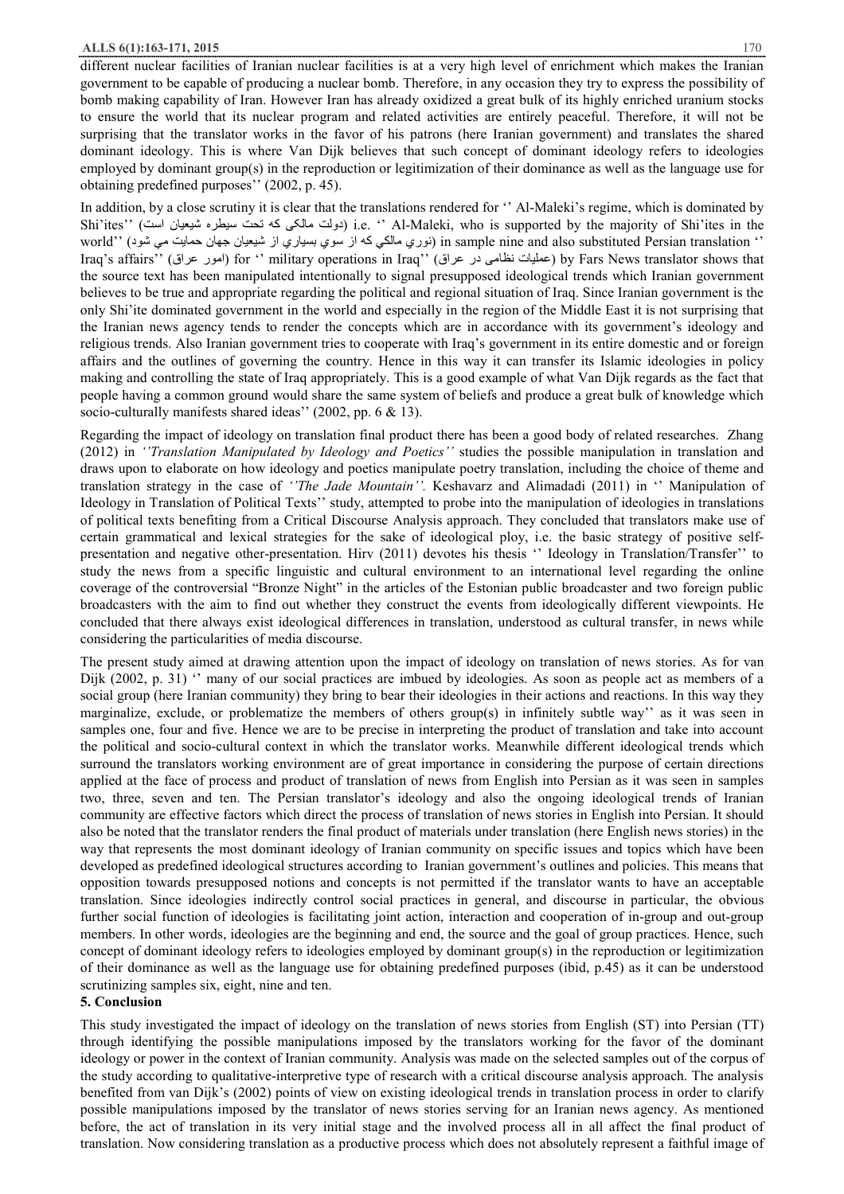#### **ALLS 6(1):163-171, 2015** 170

different nuclear facilities of Iranian nuclear facilities is at a very high level of enrichment which makes the Iranian government to be capable of producing a nuclear bomb. Therefore, in any occasion they try to express the possibility of bomb making capability of Iran. However Iran has already oxidized a great bulk of its highly enriched uranium stocks to ensure the world that its nuclear program and related activities are entirely peaceful. Therefore, it will not be surprising that the translator works in the favor of his patrons (here Iranian government) and translates the shared dominant ideology. This is where Van Dijk believes that such concept of dominant ideology refers to ideologies employed by dominant group(s) in the reproduction or legitimization of their dominance as well as the language use for obtaining predefined purposes'' (2002, p. 45).

In addition, by a close scrutiny it is clear that the translations rendered for "Al-Maleki's regime, which is dominated by Shi'ites'' (است شیعیان سیطره تحت کھ مالکی دولت (i.e. '' Al-Maleki, who is supported by the majority of Shi'ites in the '' translation Persian substituted also and nine sample in) نوري مالكي كھ از سوي بسیاري از شیعیان جھان حمایت مي شود) ''world Iraq's affairs'' (عراق امور (for '' military operations in Iraq'' (عراق در نظامی عملیات (by Fars News translator shows that the source text has been manipulated intentionally to signal presupposed ideological trends which Iranian government believes to be true and appropriate regarding the political and regional situation of Iraq. Since Iranian government is the only Shi'ite dominated government in the world and especially in the region of the Middle East it is not surprising that the Iranian news agency tends to render the concepts which are in accordance with its government's ideology and religious trends. Also Iranian government tries to cooperate with Iraq's government in its entire domestic and or foreign affairs and the outlines of governing the country. Hence in this way it can transfer its Islamic ideologies in policy making and controlling the state of Iraq appropriately. This is a good example of what Van Dijk regards as the fact that people having a common ground would share the same system of beliefs and produce a great bulk of knowledge which socio-culturally manifests shared ideas" (2002, pp. 6 & 13).

Regarding the impact of ideology on translation final product there has been a good body of related researches. Zhang (2012) in *''Translation Manipulated by Ideology and Poetics''* studies the possible manipulation in translation and draws upon to elaborate on how ideology and poetics manipulate poetry translation, including the choice of theme and translation strategy in the case of *''The Jade Mountain''.* Keshavarz and Alimadadi (2011) in '' Manipulation of Ideology in Translation of Political Texts'' study, attempted to probe into the manipulation of ideologies in translations of political texts benefiting from a Critical Discourse Analysis approach. They concluded that translators make use of certain grammatical and lexical strategies for the sake of ideological ploy, i.e. the basic strategy of positive selfpresentation and negative other-presentation. Hirv (2011) devotes his thesis '' Ideology in Translation/Transfer'' to study the news from a specific linguistic and cultural environment to an international level regarding the online coverage of the controversial "Bronze Night" in the articles of the Estonian public broadcaster and two foreign public broadcasters with the aim to find out whether they construct the events from ideologically different viewpoints. He concluded that there always exist ideological differences in translation, understood as cultural transfer, in news while considering the particularities of media discourse.

The present study aimed at drawing attention upon the impact of ideology on translation of news stories. As for van Dijk (2002, p. 31) " many of our social practices are imbued by ideologies. As soon as people act as members of a social group (here Iranian community) they bring to bear their ideologies in their actions and reactions. In this way they marginalize, exclude, or problematize the members of others group(s) in infinitely subtle way'' as it was seen in samples one, four and five. Hence we are to be precise in interpreting the product of translation and take into account the political and socio-cultural context in which the translator works. Meanwhile different ideological trends which surround the translators working environment are of great importance in considering the purpose of certain directions applied at the face of process and product of translation of news from English into Persian as it was seen in samples two, three, seven and ten. The Persian translator's ideology and also the ongoing ideological trends of Iranian community are effective factors which direct the process of translation of news stories in English into Persian. It should also be noted that the translator renders the final product of materials under translation (here English news stories) in the way that represents the most dominant ideology of Iranian community on specific issues and topics which have been developed as predefined ideological structures according to Iranian government's outlines and policies. This means that opposition towards presupposed notions and concepts is not permitted if the translator wants to have an acceptable translation. Since ideologies indirectly control social practices in general, and discourse in particular, the obvious further social function of ideologies is facilitating joint action, interaction and cooperation of in-group and out-group members. In other words, ideologies are the beginning and end, the source and the goal of group practices. Hence, such concept of dominant ideology refers to ideologies employed by dominant group(s) in the reproduction or legitimization of their dominance as well as the language use for obtaining predefined purposes (ibid, p.45) as it can be understood scrutinizing samples six, eight, nine and ten.

## **5. Conclusion**

This study investigated the impact of ideology on the translation of news stories from English (ST) into Persian (TT) through identifying the possible manipulations imposed by the translators working for the favor of the dominant ideology or power in the context of Iranian community. Analysis was made on the selected samples out of the corpus of the study according to qualitative-interpretive type of research with a critical discourse analysis approach. The analysis benefited from van Dijk's (2002) points of view on existing ideological trends in translation process in order to clarify possible manipulations imposed by the translator of news stories serving for an Iranian news agency. As mentioned before, the act of translation in its very initial stage and the involved process all in all affect the final product of translation. Now considering translation as a productive process which does not absolutely represent a faithful image of